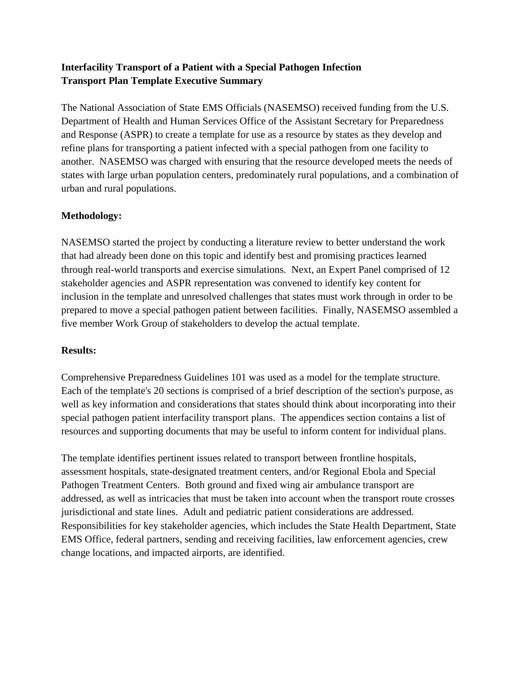## **Interfacility Transport of a Patient with a Special Pathogen Infection Transport Plan Template Executive Summary**

The National Association of State EMS Officials (NASEMSO) received funding from the U.S. Department of Health and Human Services Office of the Assistant Secretary for Preparedness and Response (ASPR) to create a template for use as a resource by states as they develop and refine plans for transporting a patient infected with a special pathogen from one facility to another. NASEMSO was charged with ensuring that the resource developed meets the needs of states with large urban population centers, predominately rural populations, and a combination of urban and rural populations.

## **Methodology:**

NASEMSO started the project by conducting a literature review to better understand the work that had already been done on this topic and identify best and promising practices learned through real-world transports and exercise simulations. Next, an Expert Panel comprised of 12 stakeholder agencies and ASPR representation was convened to identify key content for inclusion in the template and unresolved challenges that states must work through in order to be prepared to move a special pathogen patient between facilities. Finally, NASEMSO assembled a five member Work Group of stakeholders to develop the actual template.

## **Results:**

Comprehensive Preparedness Guidelines 101 was used as a model for the template structure. Each of the template's 20 sections is comprised of a brief description of the section's purpose, as well as key information and considerations that states should think about incorporating into their special pathogen patient interfacility transport plans. The appendices section contains a list of resources and supporting documents that may be useful to inform content for individual plans.

The template identifies pertinent issues related to transport between frontline hospitals, assessment hospitals, state-designated treatment centers, and/or Regional Ebola and Special Pathogen Treatment Centers. Both ground and fixed wing air ambulance transport are addressed, as well as intricacies that must be taken into account when the transport route crosses jurisdictional and state lines. Adult and pediatric patient considerations are addressed. Responsibilities for key stakeholder agencies, which includes the State Health Department, State EMS Office, federal partners, sending and receiving facilities, law enforcement agencies, crew change locations, and impacted airports, are identified.